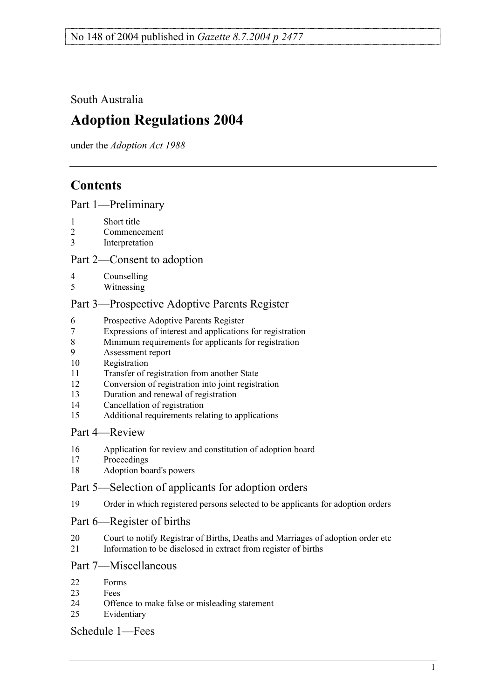South Australia

# **Adoption Regulations 2004**

under the *Adoption Act 1988*

## **Contents**

Part 1—Preliminary

- 1 Short title
- 2 Commencement
- 3 Interpretation

### Part 2—Consent to adoption

- 4 Counselling<br>5 Witnessing
- Witnessing

### Part 3—Prospective Adoptive Parents Register

- 6 Prospective Adoptive Parents Register
- 7 Expressions of interest and applications for registration
- 8 Minimum requirements for applicants for registration
- 9 Assessment report
- 10 Registration
- 11 Transfer of registration from another State
- 12 Conversion of registration into joint registration
- 13 Duration and renewal of registration
- 14 Cancellation of registration
- 15 Additional requirements relating to applications

#### Part 4—Review

- 16 Application for review and constitution of adoption board
- 17 Proceedings
- 18 Adoption board's powers

#### Part 5—Selection of applicants for adoption orders

19 Order in which registered persons selected to be applicants for adoption orders

#### Part 6—Register of births

- 20 Court to notify Registrar of Births, Deaths and Marriages of adoption order etc
- 21 Information to be disclosed in extract from register of births

#### Part 7—Miscellaneous

- 22 Forms
- 23 Fees
- 24 Offence to make false or misleading statement
- 25 Evidentiary

#### Schedule 1—Fees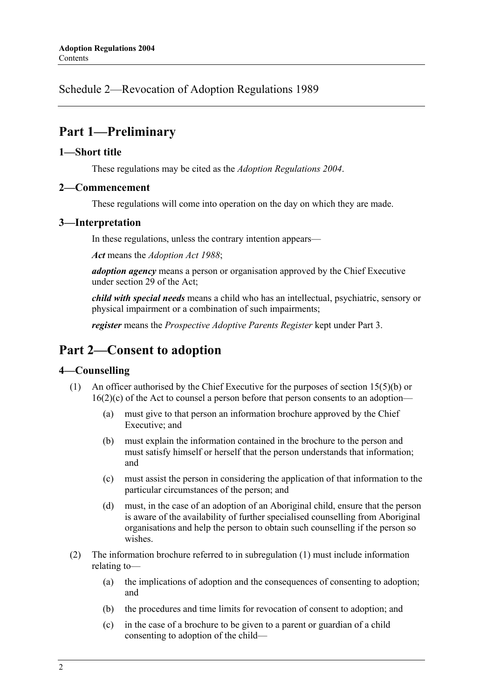Schedule 2—Revocation of Adoption Regulations 1989

### **Part 1—Preliminary**

#### **1—Short title**

These regulations may be cited as the *Adoption Regulations 2004*.

#### **2—Commencement**

These regulations will come into operation on the day on which they are made.

#### **3—Interpretation**

In these regulations, unless the contrary intention appears—

*Act* means the *Adoption Act 1988*;

*adoption agency* means a person or organisation approved by the Chief Executive under section 29 of the Act;

*child with special needs* means a child who has an intellectual, psychiatric, sensory or physical impairment or a combination of such impairments;

*register* means the *Prospective Adoptive Parents Register* kept under Part 3.

### **Part 2—Consent to adoption**

#### **4—Counselling**

- (1) An officer authorised by the Chief Executive for the purposes of section 15(5)(b) or 16(2)(c) of the Act to counsel a person before that person consents to an adoption—
	- (a) must give to that person an information brochure approved by the Chief Executive; and
	- (b) must explain the information contained in the brochure to the person and must satisfy himself or herself that the person understands that information; and
	- (c) must assist the person in considering the application of that information to the particular circumstances of the person; and
	- (d) must, in the case of an adoption of an Aboriginal child, ensure that the person is aware of the availability of further specialised counselling from Aboriginal organisations and help the person to obtain such counselling if the person so wishes.
- (2) The information brochure referred to in subregulation (1) must include information relating to—
	- (a) the implications of adoption and the consequences of consenting to adoption; and
	- (b) the procedures and time limits for revocation of consent to adoption; and
	- (c) in the case of a brochure to be given to a parent or guardian of a child consenting to adoption of the child—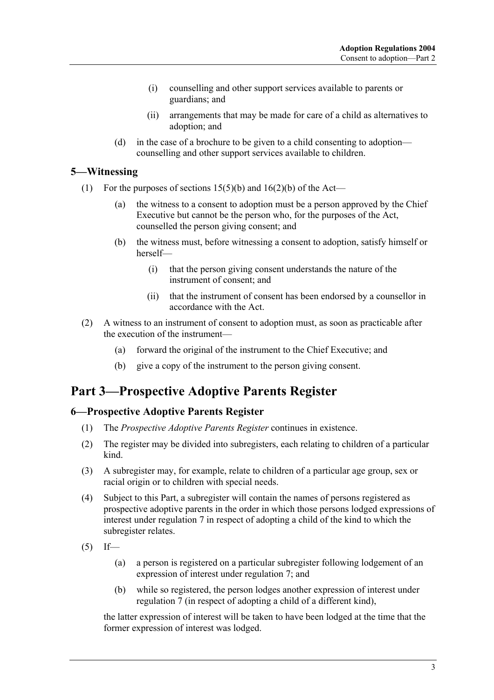- (i) counselling and other support services available to parents or guardians; and
- (ii) arrangements that may be made for care of a child as alternatives to adoption; and
- (d) in the case of a brochure to be given to a child consenting to adoption counselling and other support services available to children.

#### **5—Witnessing**

- (1) For the purposes of sections  $15(5)(b)$  and  $16(2)(b)$  of the Act—
	- (a) the witness to a consent to adoption must be a person approved by the Chief Executive but cannot be the person who, for the purposes of the Act, counselled the person giving consent; and
	- (b) the witness must, before witnessing a consent to adoption, satisfy himself or herself—
		- (i) that the person giving consent understands the nature of the instrument of consent; and
		- (ii) that the instrument of consent has been endorsed by a counsellor in accordance with the Act.
- (2) A witness to an instrument of consent to adoption must, as soon as practicable after the execution of the instrument—
	- (a) forward the original of the instrument to the Chief Executive; and
	- (b) give a copy of the instrument to the person giving consent.

## **Part 3—Prospective Adoptive Parents Register**

#### **6—Prospective Adoptive Parents Register**

- (1) The *Prospective Adoptive Parents Register* continues in existence.
- (2) The register may be divided into subregisters, each relating to children of a particular kind.
- (3) A subregister may, for example, relate to children of a particular age group, sex or racial origin or to children with special needs.
- (4) Subject to this Part, a subregister will contain the names of persons registered as prospective adoptive parents in the order in which those persons lodged expressions of interest under regulation 7 in respect of adopting a child of the kind to which the subregister relates.
- $(5)$  If—
	- (a) a person is registered on a particular subregister following lodgement of an expression of interest under regulation 7; and
	- (b) while so registered, the person lodges another expression of interest under regulation 7 (in respect of adopting a child of a different kind),

the latter expression of interest will be taken to have been lodged at the time that the former expression of interest was lodged.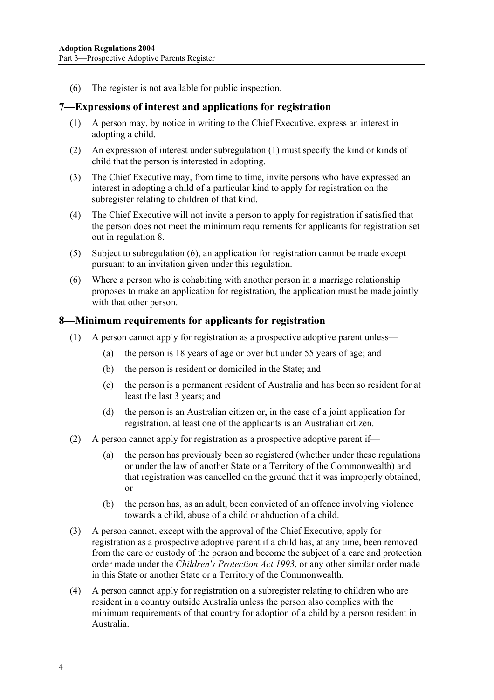(6) The register is not available for public inspection.

#### **7—Expressions of interest and applications for registration**

- (1) A person may, by notice in writing to the Chief Executive, express an interest in adopting a child.
- (2) An expression of interest under subregulation (1) must specify the kind or kinds of child that the person is interested in adopting.
- (3) The Chief Executive may, from time to time, invite persons who have expressed an interest in adopting a child of a particular kind to apply for registration on the subregister relating to children of that kind.
- (4) The Chief Executive will not invite a person to apply for registration if satisfied that the person does not meet the minimum requirements for applicants for registration set out in regulation 8.
- (5) Subject to subregulation (6), an application for registration cannot be made except pursuant to an invitation given under this regulation.
- (6) Where a person who is cohabiting with another person in a marriage relationship proposes to make an application for registration, the application must be made jointly with that other person.

#### **8—Minimum requirements for applicants for registration**

- (1) A person cannot apply for registration as a prospective adoptive parent unless—
	- (a) the person is 18 years of age or over but under 55 years of age; and
	- (b) the person is resident or domiciled in the State; and
	- (c) the person is a permanent resident of Australia and has been so resident for at least the last 3 years; and
	- (d) the person is an Australian citizen or, in the case of a joint application for registration, at least one of the applicants is an Australian citizen.
- (2) A person cannot apply for registration as a prospective adoptive parent if—
	- (a) the person has previously been so registered (whether under these regulations or under the law of another State or a Territory of the Commonwealth) and that registration was cancelled on the ground that it was improperly obtained; or
	- (b) the person has, as an adult, been convicted of an offence involving violence towards a child, abuse of a child or abduction of a child.
- (3) A person cannot, except with the approval of the Chief Executive, apply for registration as a prospective adoptive parent if a child has, at any time, been removed from the care or custody of the person and become the subject of a care and protection order made under the *Children's Protection Act 1993*, or any other similar order made in this State or another State or a Territory of the Commonwealth.
- (4) A person cannot apply for registration on a subregister relating to children who are resident in a country outside Australia unless the person also complies with the minimum requirements of that country for adoption of a child by a person resident in Australia.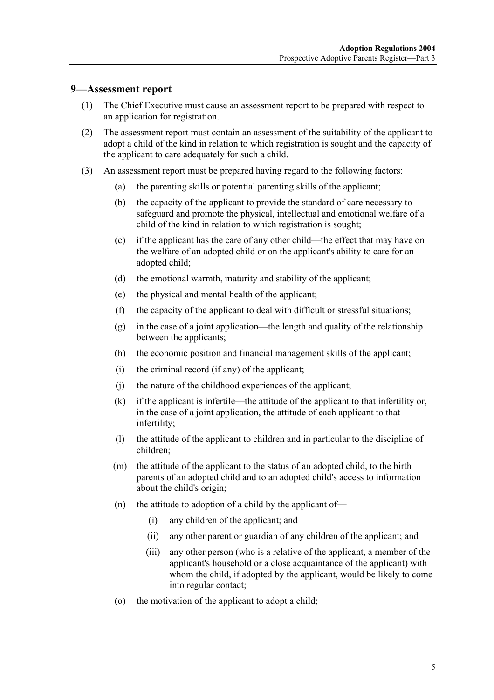#### **9—Assessment report**

- (1) The Chief Executive must cause an assessment report to be prepared with respect to an application for registration.
- (2) The assessment report must contain an assessment of the suitability of the applicant to adopt a child of the kind in relation to which registration is sought and the capacity of the applicant to care adequately for such a child.
- (3) An assessment report must be prepared having regard to the following factors:
	- (a) the parenting skills or potential parenting skills of the applicant;
	- (b) the capacity of the applicant to provide the standard of care necessary to safeguard and promote the physical, intellectual and emotional welfare of a child of the kind in relation to which registration is sought;
	- (c) if the applicant has the care of any other child—the effect that may have on the welfare of an adopted child or on the applicant's ability to care for an adopted child;
	- (d) the emotional warmth, maturity and stability of the applicant;
	- (e) the physical and mental health of the applicant;
	- (f) the capacity of the applicant to deal with difficult or stressful situations;
	- (g) in the case of a joint application—the length and quality of the relationship between the applicants;
	- (h) the economic position and financial management skills of the applicant;
	- (i) the criminal record (if any) of the applicant;
	- (j) the nature of the childhood experiences of the applicant;
	- (k) if the applicant is infertile—the attitude of the applicant to that infertility or, in the case of a joint application, the attitude of each applicant to that infertility;
	- (l) the attitude of the applicant to children and in particular to the discipline of children;
	- (m) the attitude of the applicant to the status of an adopted child, to the birth parents of an adopted child and to an adopted child's access to information about the child's origin;
	- (n) the attitude to adoption of a child by the applicant of—
		- (i) any children of the applicant; and
		- (ii) any other parent or guardian of any children of the applicant; and
		- (iii) any other person (who is a relative of the applicant, a member of the applicant's household or a close acquaintance of the applicant) with whom the child, if adopted by the applicant, would be likely to come into regular contact;
	- (o) the motivation of the applicant to adopt a child;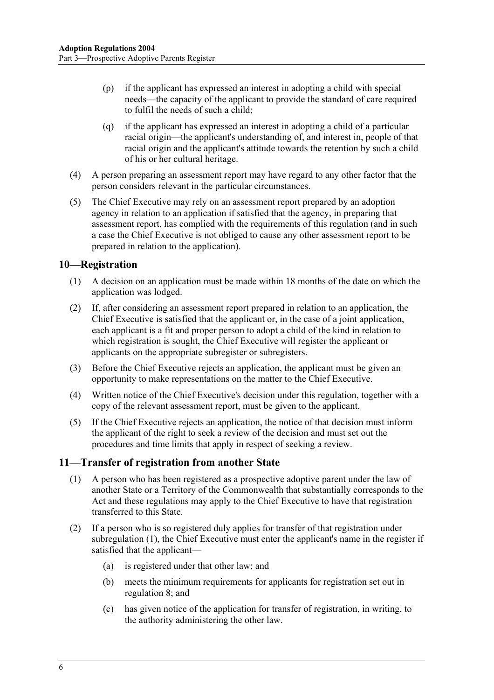- (p) if the applicant has expressed an interest in adopting a child with special needs—the capacity of the applicant to provide the standard of care required to fulfil the needs of such a child;
- (q) if the applicant has expressed an interest in adopting a child of a particular racial origin—the applicant's understanding of, and interest in, people of that racial origin and the applicant's attitude towards the retention by such a child of his or her cultural heritage.
- (4) A person preparing an assessment report may have regard to any other factor that the person considers relevant in the particular circumstances.
- (5) The Chief Executive may rely on an assessment report prepared by an adoption agency in relation to an application if satisfied that the agency, in preparing that assessment report, has complied with the requirements of this regulation (and in such a case the Chief Executive is not obliged to cause any other assessment report to be prepared in relation to the application).

#### **10—Registration**

- (1) A decision on an application must be made within 18 months of the date on which the application was lodged.
- (2) If, after considering an assessment report prepared in relation to an application, the Chief Executive is satisfied that the applicant or, in the case of a joint application, each applicant is a fit and proper person to adopt a child of the kind in relation to which registration is sought, the Chief Executive will register the applicant or applicants on the appropriate subregister or subregisters.
- (3) Before the Chief Executive rejects an application, the applicant must be given an opportunity to make representations on the matter to the Chief Executive.
- (4) Written notice of the Chief Executive's decision under this regulation, together with a copy of the relevant assessment report, must be given to the applicant.
- (5) If the Chief Executive rejects an application, the notice of that decision must inform the applicant of the right to seek a review of the decision and must set out the procedures and time limits that apply in respect of seeking a review.

#### **11—Transfer of registration from another State**

- (1) A person who has been registered as a prospective adoptive parent under the law of another State or a Territory of the Commonwealth that substantially corresponds to the Act and these regulations may apply to the Chief Executive to have that registration transferred to this State.
- (2) If a person who is so registered duly applies for transfer of that registration under subregulation (1), the Chief Executive must enter the applicant's name in the register if satisfied that the applicant—
	- (a) is registered under that other law; and
	- (b) meets the minimum requirements for applicants for registration set out in regulation 8; and
	- (c) has given notice of the application for transfer of registration, in writing, to the authority administering the other law.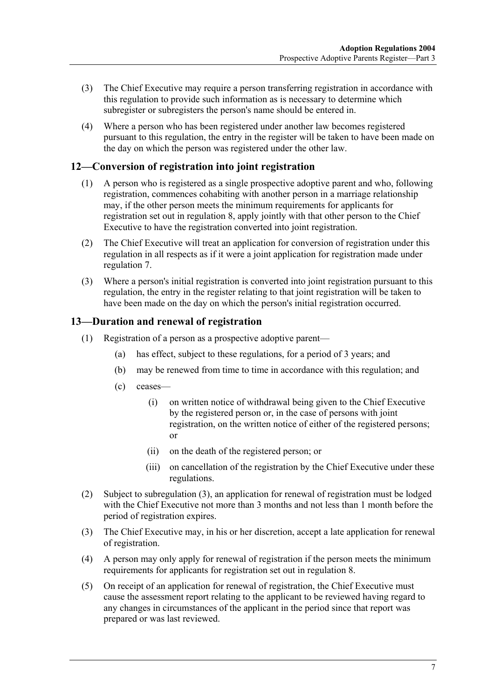- (3) The Chief Executive may require a person transferring registration in accordance with this regulation to provide such information as is necessary to determine which subregister or subregisters the person's name should be entered in.
- (4) Where a person who has been registered under another law becomes registered pursuant to this regulation, the entry in the register will be taken to have been made on the day on which the person was registered under the other law.

#### **12—Conversion of registration into joint registration**

- (1) A person who is registered as a single prospective adoptive parent and who, following registration, commences cohabiting with another person in a marriage relationship may, if the other person meets the minimum requirements for applicants for registration set out in regulation 8, apply jointly with that other person to the Chief Executive to have the registration converted into joint registration.
- (2) The Chief Executive will treat an application for conversion of registration under this regulation in all respects as if it were a joint application for registration made under regulation 7.
- (3) Where a person's initial registration is converted into joint registration pursuant to this regulation, the entry in the register relating to that joint registration will be taken to have been made on the day on which the person's initial registration occurred.

#### **13—Duration and renewal of registration**

- (1) Registration of a person as a prospective adoptive parent—
	- (a) has effect, subject to these regulations, for a period of 3 years; and
	- (b) may be renewed from time to time in accordance with this regulation; and
	- (c) ceases—
		- (i) on written notice of withdrawal being given to the Chief Executive by the registered person or, in the case of persons with joint registration, on the written notice of either of the registered persons; or
		- (ii) on the death of the registered person; or
		- (iii) on cancellation of the registration by the Chief Executive under these regulations.
- (2) Subject to subregulation (3), an application for renewal of registration must be lodged with the Chief Executive not more than 3 months and not less than 1 month before the period of registration expires.
- (3) The Chief Executive may, in his or her discretion, accept a late application for renewal of registration.
- (4) A person may only apply for renewal of registration if the person meets the minimum requirements for applicants for registration set out in regulation 8.
- (5) On receipt of an application for renewal of registration, the Chief Executive must cause the assessment report relating to the applicant to be reviewed having regard to any changes in circumstances of the applicant in the period since that report was prepared or was last reviewed.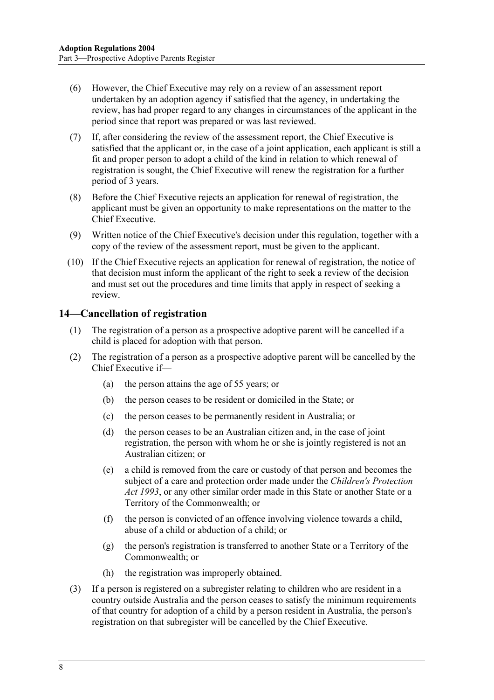- (6) However, the Chief Executive may rely on a review of an assessment report undertaken by an adoption agency if satisfied that the agency, in undertaking the review, has had proper regard to any changes in circumstances of the applicant in the period since that report was prepared or was last reviewed.
- (7) If, after considering the review of the assessment report, the Chief Executive is satisfied that the applicant or, in the case of a joint application, each applicant is still a fit and proper person to adopt a child of the kind in relation to which renewal of registration is sought, the Chief Executive will renew the registration for a further period of 3 years.
- (8) Before the Chief Executive rejects an application for renewal of registration, the applicant must be given an opportunity to make representations on the matter to the Chief Executive.
- (9) Written notice of the Chief Executive's decision under this regulation, together with a copy of the review of the assessment report, must be given to the applicant.
- (10) If the Chief Executive rejects an application for renewal of registration, the notice of that decision must inform the applicant of the right to seek a review of the decision and must set out the procedures and time limits that apply in respect of seeking a review.

#### **14—Cancellation of registration**

- (1) The registration of a person as a prospective adoptive parent will be cancelled if a child is placed for adoption with that person.
- (2) The registration of a person as a prospective adoptive parent will be cancelled by the Chief Executive if—
	- (a) the person attains the age of 55 years; or
	- (b) the person ceases to be resident or domiciled in the State; or
	- (c) the person ceases to be permanently resident in Australia; or
	- (d) the person ceases to be an Australian citizen and, in the case of joint registration, the person with whom he or she is jointly registered is not an Australian citizen; or
	- (e) a child is removed from the care or custody of that person and becomes the subject of a care and protection order made under the *Children's Protection Act 1993*, or any other similar order made in this State or another State or a Territory of the Commonwealth; or
	- (f) the person is convicted of an offence involving violence towards a child, abuse of a child or abduction of a child; or
	- (g) the person's registration is transferred to another State or a Territory of the Commonwealth; or
	- (h) the registration was improperly obtained.
- (3) If a person is registered on a subregister relating to children who are resident in a country outside Australia and the person ceases to satisfy the minimum requirements of that country for adoption of a child by a person resident in Australia, the person's registration on that subregister will be cancelled by the Chief Executive.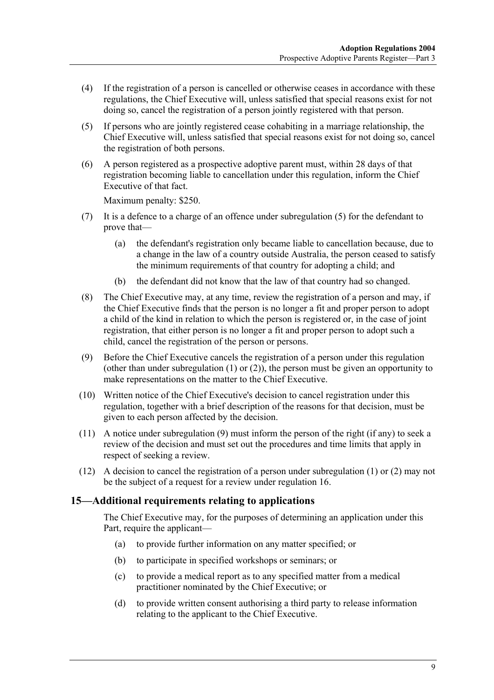- (4) If the registration of a person is cancelled or otherwise ceases in accordance with these regulations, the Chief Executive will, unless satisfied that special reasons exist for not doing so, cancel the registration of a person jointly registered with that person.
- (5) If persons who are jointly registered cease cohabiting in a marriage relationship, the Chief Executive will, unless satisfied that special reasons exist for not doing so, cancel the registration of both persons.
- (6) A person registered as a prospective adoptive parent must, within 28 days of that registration becoming liable to cancellation under this regulation, inform the Chief Executive of that fact.

Maximum penalty: \$250.

- (7) It is a defence to a charge of an offence under subregulation (5) for the defendant to prove that—
	- (a) the defendant's registration only became liable to cancellation because, due to a change in the law of a country outside Australia, the person ceased to satisfy the minimum requirements of that country for adopting a child; and
	- (b) the defendant did not know that the law of that country had so changed.
- (8) The Chief Executive may, at any time, review the registration of a person and may, if the Chief Executive finds that the person is no longer a fit and proper person to adopt a child of the kind in relation to which the person is registered or, in the case of joint registration, that either person is no longer a fit and proper person to adopt such a child, cancel the registration of the person or persons.
- (9) Before the Chief Executive cancels the registration of a person under this regulation (other than under subregulation  $(1)$  or  $(2)$ ), the person must be given an opportunity to make representations on the matter to the Chief Executive.
- (10) Written notice of the Chief Executive's decision to cancel registration under this regulation, together with a brief description of the reasons for that decision, must be given to each person affected by the decision.
- (11) A notice under subregulation (9) must inform the person of the right (if any) to seek a review of the decision and must set out the procedures and time limits that apply in respect of seeking a review.
- (12) A decision to cancel the registration of a person under subregulation (1) or (2) may not be the subject of a request for a review under regulation 16.

#### **15—Additional requirements relating to applications**

The Chief Executive may, for the purposes of determining an application under this Part, require the applicant—

- (a) to provide further information on any matter specified; or
- (b) to participate in specified workshops or seminars; or
- (c) to provide a medical report as to any specified matter from a medical practitioner nominated by the Chief Executive; or
- (d) to provide written consent authorising a third party to release information relating to the applicant to the Chief Executive.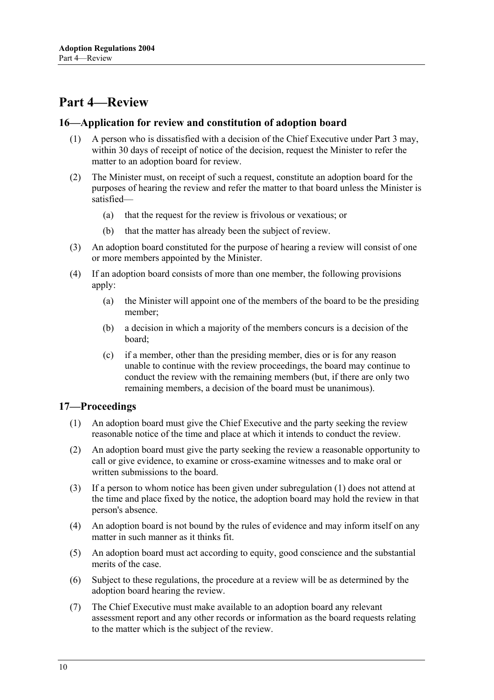### **Part 4—Review**

#### **16—Application for review and constitution of adoption board**

- (1) A person who is dissatisfied with a decision of the Chief Executive under Part 3 may, within 30 days of receipt of notice of the decision, request the Minister to refer the matter to an adoption board for review.
- (2) The Minister must, on receipt of such a request, constitute an adoption board for the purposes of hearing the review and refer the matter to that board unless the Minister is satisfied—
	- (a) that the request for the review is frivolous or vexatious; or
	- (b) that the matter has already been the subject of review.
- (3) An adoption board constituted for the purpose of hearing a review will consist of one or more members appointed by the Minister.
- (4) If an adoption board consists of more than one member, the following provisions apply:
	- (a) the Minister will appoint one of the members of the board to be the presiding member;
	- (b) a decision in which a majority of the members concurs is a decision of the board;
	- (c) if a member, other than the presiding member, dies or is for any reason unable to continue with the review proceedings, the board may continue to conduct the review with the remaining members (but, if there are only two remaining members, a decision of the board must be unanimous).

#### **17—Proceedings**

- (1) An adoption board must give the Chief Executive and the party seeking the review reasonable notice of the time and place at which it intends to conduct the review.
- (2) An adoption board must give the party seeking the review a reasonable opportunity to call or give evidence, to examine or cross-examine witnesses and to make oral or written submissions to the board.
- (3) If a person to whom notice has been given under subregulation (1) does not attend at the time and place fixed by the notice, the adoption board may hold the review in that person's absence.
- (4) An adoption board is not bound by the rules of evidence and may inform itself on any matter in such manner as it thinks fit.
- (5) An adoption board must act according to equity, good conscience and the substantial merits of the case.
- (6) Subject to these regulations, the procedure at a review will be as determined by the adoption board hearing the review.
- (7) The Chief Executive must make available to an adoption board any relevant assessment report and any other records or information as the board requests relating to the matter which is the subject of the review.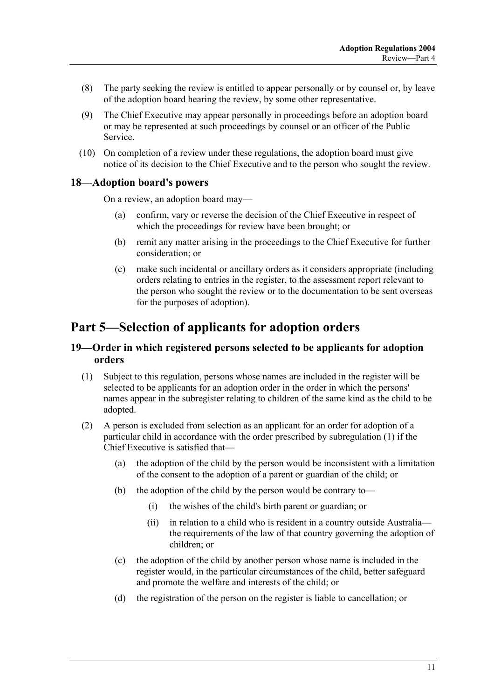- (8) The party seeking the review is entitled to appear personally or by counsel or, by leave of the adoption board hearing the review, by some other representative.
- (9) The Chief Executive may appear personally in proceedings before an adoption board or may be represented at such proceedings by counsel or an officer of the Public Service.
- (10) On completion of a review under these regulations, the adoption board must give notice of its decision to the Chief Executive and to the person who sought the review.

#### **18—Adoption board's powers**

On a review, an adoption board may—

- (a) confirm, vary or reverse the decision of the Chief Executive in respect of which the proceedings for review have been brought; or
- (b) remit any matter arising in the proceedings to the Chief Executive for further consideration; or
- (c) make such incidental or ancillary orders as it considers appropriate (including orders relating to entries in the register, to the assessment report relevant to the person who sought the review or to the documentation to be sent overseas for the purposes of adoption).

### **Part 5—Selection of applicants for adoption orders**

#### **19—Order in which registered persons selected to be applicants for adoption orders**

- (1) Subject to this regulation, persons whose names are included in the register will be selected to be applicants for an adoption order in the order in which the persons' names appear in the subregister relating to children of the same kind as the child to be adopted.
- (2) A person is excluded from selection as an applicant for an order for adoption of a particular child in accordance with the order prescribed by subregulation (1) if the Chief Executive is satisfied that—
	- (a) the adoption of the child by the person would be inconsistent with a limitation of the consent to the adoption of a parent or guardian of the child; or
	- (b) the adoption of the child by the person would be contrary to—
		- (i) the wishes of the child's birth parent or guardian; or
		- (ii) in relation to a child who is resident in a country outside Australia the requirements of the law of that country governing the adoption of children; or
	- (c) the adoption of the child by another person whose name is included in the register would, in the particular circumstances of the child, better safeguard and promote the welfare and interests of the child; or
	- (d) the registration of the person on the register is liable to cancellation; or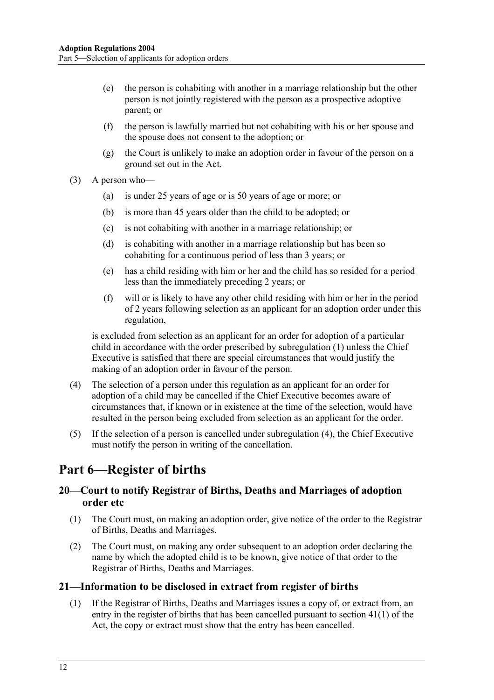- (e) the person is cohabiting with another in a marriage relationship but the other person is not jointly registered with the person as a prospective adoptive parent; or
- (f) the person is lawfully married but not cohabiting with his or her spouse and the spouse does not consent to the adoption; or
- (g) the Court is unlikely to make an adoption order in favour of the person on a ground set out in the Act.
- (3) A person who—
	- (a) is under 25 years of age or is 50 years of age or more; or
	- (b) is more than 45 years older than the child to be adopted; or
	- (c) is not cohabiting with another in a marriage relationship; or
	- (d) is cohabiting with another in a marriage relationship but has been so cohabiting for a continuous period of less than 3 years; or
	- (e) has a child residing with him or her and the child has so resided for a period less than the immediately preceding 2 years; or
	- (f) will or is likely to have any other child residing with him or her in the period of 2 years following selection as an applicant for an adoption order under this regulation,

is excluded from selection as an applicant for an order for adoption of a particular child in accordance with the order prescribed by subregulation (1) unless the Chief Executive is satisfied that there are special circumstances that would justify the making of an adoption order in favour of the person.

- (4) The selection of a person under this regulation as an applicant for an order for adoption of a child may be cancelled if the Chief Executive becomes aware of circumstances that, if known or in existence at the time of the selection, would have resulted in the person being excluded from selection as an applicant for the order.
- (5) If the selection of a person is cancelled under subregulation (4), the Chief Executive must notify the person in writing of the cancellation.

### **Part 6—Register of births**

#### **20—Court to notify Registrar of Births, Deaths and Marriages of adoption order etc**

- (1) The Court must, on making an adoption order, give notice of the order to the Registrar of Births, Deaths and Marriages.
- (2) The Court must, on making any order subsequent to an adoption order declaring the name by which the adopted child is to be known, give notice of that order to the Registrar of Births, Deaths and Marriages.

#### **21—Information to be disclosed in extract from register of births**

 (1) If the Registrar of Births, Deaths and Marriages issues a copy of, or extract from, an entry in the register of births that has been cancelled pursuant to section 41(1) of the Act, the copy or extract must show that the entry has been cancelled.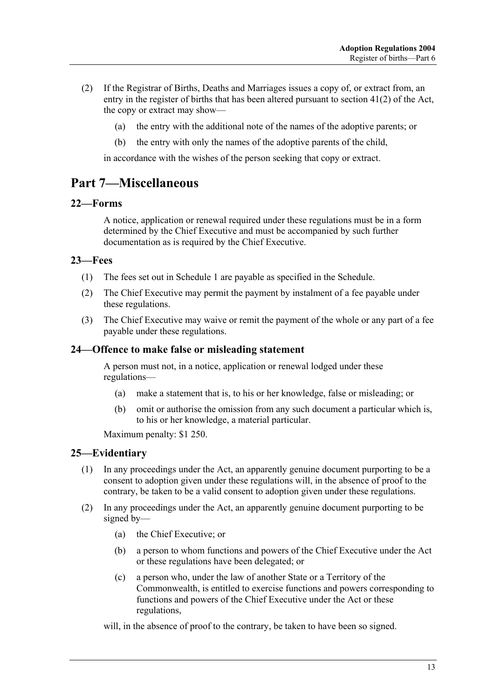- (2) If the Registrar of Births, Deaths and Marriages issues a copy of, or extract from, an entry in the register of births that has been altered pursuant to section 41(2) of the Act, the copy or extract may show—
	- (a) the entry with the additional note of the names of the adoptive parents; or
	- (b) the entry with only the names of the adoptive parents of the child,

in accordance with the wishes of the person seeking that copy or extract.

## **Part 7—Miscellaneous**

#### **22—Forms**

A notice, application or renewal required under these regulations must be in a form determined by the Chief Executive and must be accompanied by such further documentation as is required by the Chief Executive.

#### **23—Fees**

- (1) The fees set out in Schedule 1 are payable as specified in the Schedule.
- (2) The Chief Executive may permit the payment by instalment of a fee payable under these regulations.
- (3) The Chief Executive may waive or remit the payment of the whole or any part of a fee payable under these regulations.

#### **24—Offence to make false or misleading statement**

A person must not, in a notice, application or renewal lodged under these regulations—

- (a) make a statement that is, to his or her knowledge, false or misleading; or
- (b) omit or authorise the omission from any such document a particular which is, to his or her knowledge, a material particular.

Maximum penalty: \$1 250.

#### **25—Evidentiary**

- (1) In any proceedings under the Act, an apparently genuine document purporting to be a consent to adoption given under these regulations will, in the absence of proof to the contrary, be taken to be a valid consent to adoption given under these regulations.
- (2) In any proceedings under the Act, an apparently genuine document purporting to be signed by—
	- (a) the Chief Executive; or
	- (b) a person to whom functions and powers of the Chief Executive under the Act or these regulations have been delegated; or
	- (c) a person who, under the law of another State or a Territory of the Commonwealth, is entitled to exercise functions and powers corresponding to functions and powers of the Chief Executive under the Act or these regulations,

will, in the absence of proof to the contrary, be taken to have been so signed.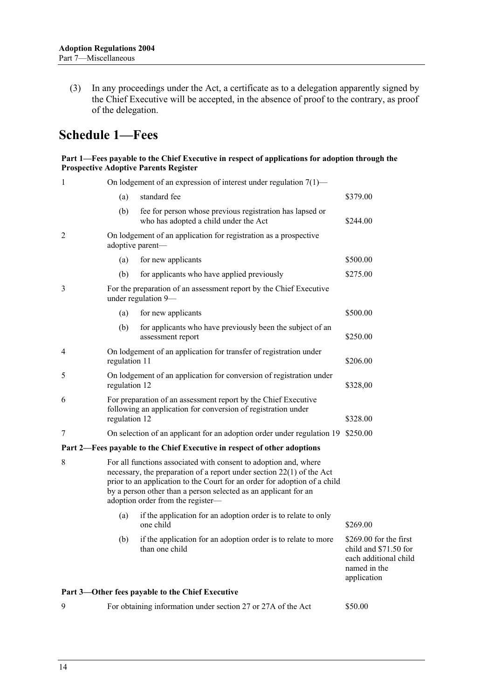(3) In any proceedings under the Act, a certificate as to a delegation apparently signed by the Chief Executive will be accepted, in the absence of proof to the contrary, as proof of the delegation.

## **Schedule 1—Fees**

#### **Part 1—Fees payable to the Chief Executive in respect of applications for adoption through the Prospective Adoptive Parents Register**

| $\mathbf{1}$ | On lodgement of an expression of interest under regulation $7(1)$ —                                                                                                                                                                                                                                                              |                                                                                                                                 |                                                                                                          |  |
|--------------|----------------------------------------------------------------------------------------------------------------------------------------------------------------------------------------------------------------------------------------------------------------------------------------------------------------------------------|---------------------------------------------------------------------------------------------------------------------------------|----------------------------------------------------------------------------------------------------------|--|
|              | (a)                                                                                                                                                                                                                                                                                                                              | standard fee                                                                                                                    | \$379.00                                                                                                 |  |
|              | (b)                                                                                                                                                                                                                                                                                                                              | fee for person whose previous registration has lapsed or<br>who has adopted a child under the Act                               | \$244.00                                                                                                 |  |
| 2            | On lodgement of an application for registration as a prospective<br>adoptive parent-                                                                                                                                                                                                                                             |                                                                                                                                 |                                                                                                          |  |
|              | (a)                                                                                                                                                                                                                                                                                                                              | for new applicants                                                                                                              | \$500.00                                                                                                 |  |
|              | (b)                                                                                                                                                                                                                                                                                                                              | for applicants who have applied previously                                                                                      | \$275.00                                                                                                 |  |
| 3            | For the preparation of an assessment report by the Chief Executive<br>under regulation 9-                                                                                                                                                                                                                                        |                                                                                                                                 |                                                                                                          |  |
|              | (a)                                                                                                                                                                                                                                                                                                                              | for new applicants                                                                                                              | \$500.00                                                                                                 |  |
|              | (b)                                                                                                                                                                                                                                                                                                                              | for applicants who have previously been the subject of an<br>assessment report                                                  | \$250.00                                                                                                 |  |
| 4            | regulation 11                                                                                                                                                                                                                                                                                                                    | On lodgement of an application for transfer of registration under                                                               | \$206.00                                                                                                 |  |
| 5            | regulation 12                                                                                                                                                                                                                                                                                                                    | On lodgement of an application for conversion of registration under                                                             | \$328,00                                                                                                 |  |
| 6            | regulation 12                                                                                                                                                                                                                                                                                                                    | For preparation of an assessment report by the Chief Executive<br>following an application for conversion of registration under | \$328.00                                                                                                 |  |
| 7            |                                                                                                                                                                                                                                                                                                                                  | On selection of an applicant for an adoption order under regulation 19 \$250.00                                                 |                                                                                                          |  |
|              |                                                                                                                                                                                                                                                                                                                                  | Part 2—Fees payable to the Chief Executive in respect of other adoptions                                                        |                                                                                                          |  |
| 8            | For all functions associated with consent to adoption and, where<br>necessary, the preparation of a report under section $22(1)$ of the Act<br>prior to an application to the Court for an order for adoption of a child<br>by a person other than a person selected as an applicant for an<br>adoption order from the register- |                                                                                                                                 |                                                                                                          |  |
|              | (a)                                                                                                                                                                                                                                                                                                                              | if the application for an adoption order is to relate to only<br>one child                                                      | \$269.00                                                                                                 |  |
|              | (b)                                                                                                                                                                                                                                                                                                                              | if the application for an adoption order is to relate to more<br>than one child                                                 | $$269.00$ for the first<br>child and \$71.50 for<br>each additional child<br>named in the<br>application |  |
|              |                                                                                                                                                                                                                                                                                                                                  | Part 3—Other fees payable to the Chief Executive                                                                                |                                                                                                          |  |
| 9            |                                                                                                                                                                                                                                                                                                                                  | For obtaining information under section 27 or 27A of the Act                                                                    | \$50.00                                                                                                  |  |